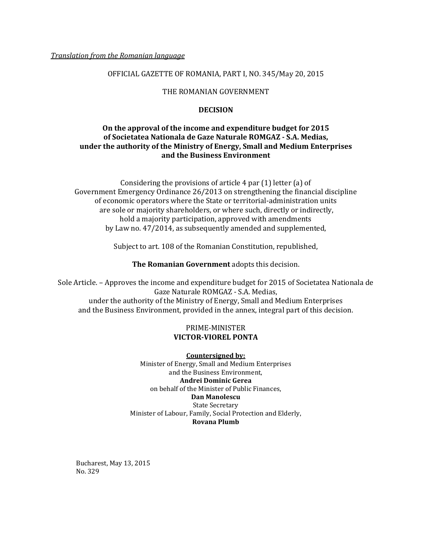## OFFICIAL GAZETTE OF ROMANIA, PART I, NO. 345/May 20, 2015

## THE ROMANIAN GOVERNMENT

### **DECISION**

# **On the approval of the income and expenditure budget for 2015 of Societatea Nationala de Gaze Naturale ROMGAZ - S.A. Medias, under the authority of the Ministry of Energy, Small and Medium Enterprises and the Business Environment**

Considering the provisions of article 4 par (1) letter (a) of Government Emergency Ordinance 26/2013 on strengthening the financial discipline of economic operators where the State or territorial-administration units are sole or majority shareholders, or where such, directly or indirectly, hold a majority participation, approved with amendments by Law no. 47/2014, as subsequently amended and supplemented,

Subject to art. 108 of the Romanian Constitution, republished,

**The Romanian Government** adopts this decision.

Sole Article. – Approves the income and expenditure budget for 2015 of Societatea Nationala de Gaze Naturale ROMGAZ - S.A. Medias, under the authority of the Ministry of Energy, Small and Medium Enterprises and the Business Environment, provided in the annex, integral part of this decision.

# PRIME-MINISTER **VICTOR-VIOREL PONTA**

**Countersigned by:**  Minister of Energy, Small and Medium Enterprises and the Business Environment, **Andrei Dominic Gerea** on behalf of the Minister of Public Finances, **Dan Manolescu**  State Secretary Minister of Labour, Family, Social Protection and Elderly, **Rovana Plumb** 

Bucharest, May 13, 2015 No. 329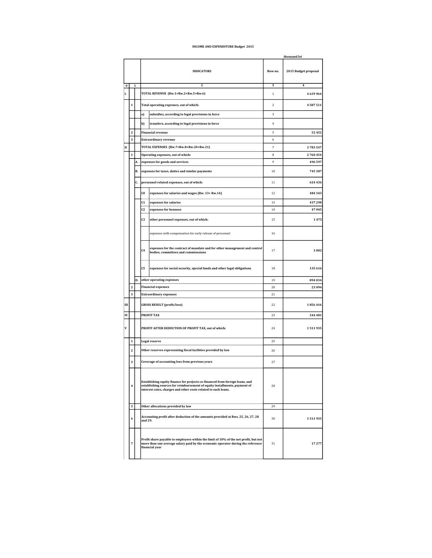#### **INCOME AND EXPENDITURE Budget 2015**

|           |                         |                |                                                                                                                                                                                                                             |                                                                                                                                                                                           |                         | thousand lei         |  |
|-----------|-------------------------|----------------|-----------------------------------------------------------------------------------------------------------------------------------------------------------------------------------------------------------------------------|-------------------------------------------------------------------------------------------------------------------------------------------------------------------------------------------|-------------------------|----------------------|--|
|           |                         |                |                                                                                                                                                                                                                             | <b>INDICATORS</b>                                                                                                                                                                         | Row no.                 | 2015 Budget proposal |  |
| $\pmb{0}$ |                         | $\mathbf 1$    |                                                                                                                                                                                                                             | 2                                                                                                                                                                                         | $\overline{\mathbf{3}}$ | $\overline{\bf{4}}$  |  |
| L         |                         |                |                                                                                                                                                                                                                             | TOTAL REVENUE (Rw.1=Rw.2+Rw.5+Rw.6)                                                                                                                                                       | $\,1$                   | 4 639 964            |  |
|           | $\mathbf{1}$            |                |                                                                                                                                                                                                                             | Total operating expenses, out of which:                                                                                                                                                   | $\,2$                   | 4587511              |  |
|           |                         |                | a)                                                                                                                                                                                                                          | subsidies, according to legal provisions in force                                                                                                                                         | 3                       |                      |  |
|           |                         |                | b)                                                                                                                                                                                                                          | transfers, according to legal provisions in force                                                                                                                                         | $\overline{4}$          |                      |  |
|           | 2                       |                |                                                                                                                                                                                                                             | <b>Financial revenue</b>                                                                                                                                                                  | 5                       | 52 452               |  |
|           | $\overline{\mathbf{3}}$ |                |                                                                                                                                                                                                                             | <b>Extraordinary revenue</b>                                                                                                                                                              | 6                       |                      |  |
| П         |                         |                | TOTAL EXPENSES (Rw.7=Rw.8+Rw.20+Rw.21)                                                                                                                                                                                      |                                                                                                                                                                                           | 7                       | 2783547              |  |
|           | $\mathbf 1$             |                | Operating expenses, out of which:                                                                                                                                                                                           |                                                                                                                                                                                           |                         | 2760454              |  |
|           |                         | А.<br>В.<br>C. |                                                                                                                                                                                                                             | expenses for goods and services                                                                                                                                                           |                         | 496 597              |  |
|           |                         |                |                                                                                                                                                                                                                             | expenses for taxes, duties and similar payments                                                                                                                                           |                         | 745387               |  |
|           |                         |                |                                                                                                                                                                                                                             | personnel-related expenses, out of which:                                                                                                                                                 |                         | 624 436              |  |
|           |                         |                | C <sub>0</sub>                                                                                                                                                                                                              | expenses for salaries and wages (Rw. 13+ Rw.14)                                                                                                                                           | 12                      | 484 343              |  |
|           |                         |                | C <sub>1</sub>                                                                                                                                                                                                              | expenses for salaries                                                                                                                                                                     | 13                      | 437298               |  |
|           |                         |                | C2                                                                                                                                                                                                                          | expenses for bonuses                                                                                                                                                                      | 14                      | 47 045               |  |
|           |                         |                | C <sub>3</sub>                                                                                                                                                                                                              | other personnel expenses, out of which:                                                                                                                                                   | 15                      | 1475                 |  |
|           |                         |                |                                                                                                                                                                                                                             | expenses with compensation for early release of personnel                                                                                                                                 | 16                      |                      |  |
|           |                         |                | C <sub>4</sub>                                                                                                                                                                                                              | expenses for the contract of mandate and for other management and control<br>bodies, committees and commisssions                                                                          | 17                      | 3002                 |  |
|           |                         |                | C5                                                                                                                                                                                                                          | expenses for social security, special funds and other legal obligations                                                                                                                   | 18                      | 135 616              |  |
|           |                         | D.             |                                                                                                                                                                                                                             | other operating expenses                                                                                                                                                                  | 19                      | 894 034              |  |
|           | $\bf{2}$                |                |                                                                                                                                                                                                                             | <b>Financial expenses</b>                                                                                                                                                                 | 20                      | 23 094               |  |
|           | 3                       |                |                                                                                                                                                                                                                             | <b>Extraordinary expenses</b>                                                                                                                                                             | 21                      |                      |  |
| Ш         |                         |                | <b>GROSS RESULT (profit/loss)</b>                                                                                                                                                                                           |                                                                                                                                                                                           | 22                      | 1856416              |  |
| IV        |                         |                |                                                                                                                                                                                                                             | PROFIT TAX                                                                                                                                                                                | 23                      | 344 481              |  |
| V         |                         |                | PROFIT AFTER DEDUCTION OF PROFIT TAX, out of which:                                                                                                                                                                         |                                                                                                                                                                                           | 24                      | 1511935              |  |
|           | 1                       |                |                                                                                                                                                                                                                             | Legal reserve                                                                                                                                                                             | 25                      |                      |  |
|           | $\boldsymbol{2}$        |                |                                                                                                                                                                                                                             | Other reserves representing fiscal facilities provided by law                                                                                                                             |                         |                      |  |
|           | 3                       |                |                                                                                                                                                                                                                             | Coverage of accounting loss from previous years                                                                                                                                           | 27                      |                      |  |
|           | 4                       |                | Establishing equity finance for projects co-financed from foreign loans, and<br>establishing sources for reimbursement of equity installments, payment of<br>interest rates, charges and other costs related to such loans. |                                                                                                                                                                                           | 28                      |                      |  |
|           | 5                       |                | Other allocations provided by law                                                                                                                                                                                           |                                                                                                                                                                                           | 29                      |                      |  |
|           | 6                       |                | Accounting profit after deduction of the amounts provided at Rws. 25, 26, 27, 28<br>and 29.                                                                                                                                 |                                                                                                                                                                                           | 30                      | 1511935              |  |
|           | 7                       |                |                                                                                                                                                                                                                             | Profit share payable to employees within the limit of 10% of the net profit, but not<br>more than one average salary paid by the economic operator during the reference<br>financial year | 31                      | 17277                |  |